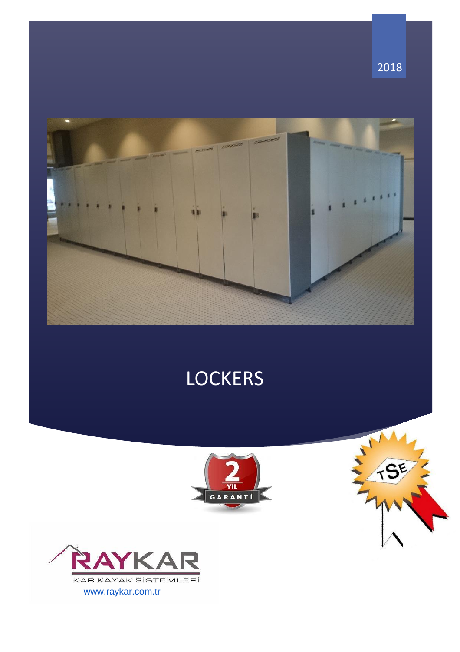

# **LOCKERS**







2018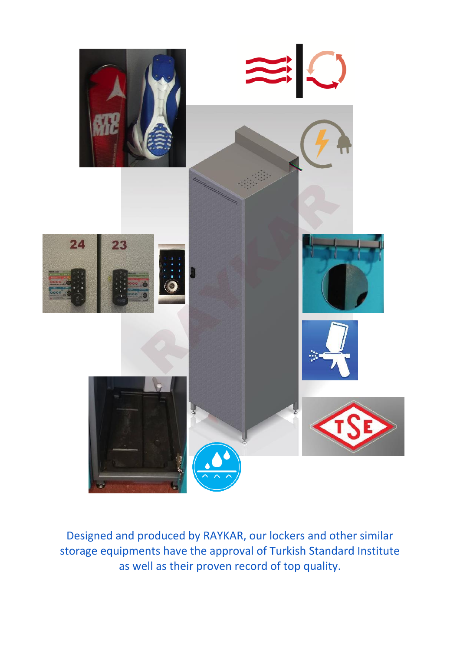

Designed and produced by RAYKAR, our lockers and other similar storage equipments have the approval of Turkish Standard Institute as well as their proven record of top quality.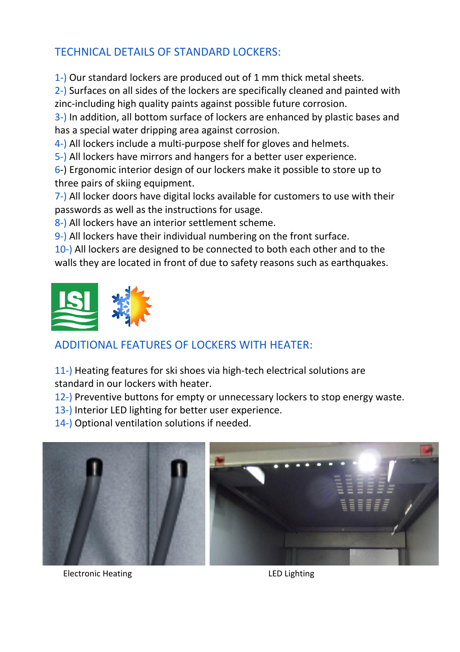## TECHNICAL DETAILS OF STANDARD LOCKERS:

1-) Our standard lockers are produced out of 1 mm thick metal sheets.

2-) Surfaces on all sides of the lockers are specifically cleaned and painted with zinc-including high quality paints against possible future corrosion.

3-) In addition, all bottom surface of lockers are enhanced by plastic bases and has a special water dripping area against corrosion.

4-) All lockers include a multi-purpose shelf for gloves and helmets.

5-) All lockers have mirrors and hangers for a better user experience.

6-) Ergonomic interior design of our lockers make it possible to store up to three pairs of skiing equipment.

7-) All locker doors have digital locks available for customers to use with their passwords as well as the instructions for usage.

8-) All lockers have an interior settlement scheme.

9-) All lockers have their individual numbering on the front surface.

10-) All lockers are designed to be connected to both each other and to the walls they are located in front of due to safety reasons such as earthquakes.



# ADDITIONAL FEATURES OF LOCKERS WITH HEATER:

11-) Heating features for ski shoes via high-tech electrical solutions are standard in our lockers with heater.

12-) Preventive buttons for empty or unnecessary lockers to stop energy waste.

- 13-) Interior LED lighting for better user experience.
- 14-) Optional ventilation solutions if needed.



Electronic Heating **LED** Lighting